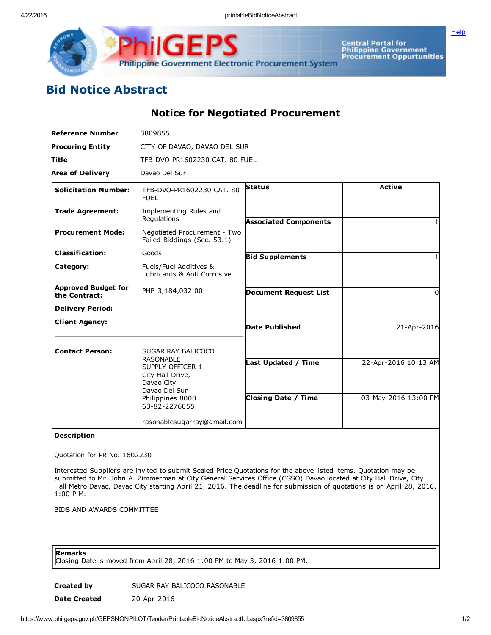4/22/2016 printableBidNoticeAbstract

**[Help](javascript:void(window.open()** 



Central Portal for<br>Philippine Government<br>Procurement Oppurtunities

## Bid Notice Abstract

Notice for Negotiated Procurement

| <b>Reference Number</b>                     | 3809855                                                                                                                      |                              |                      |
|---------------------------------------------|------------------------------------------------------------------------------------------------------------------------------|------------------------------|----------------------|
| <b>Procuring Entity</b>                     | CITY OF DAVAO, DAVAO DEL SUR                                                                                                 |                              |                      |
| <b>Title</b>                                | TFB-DVO-PR1602230 CAT, 80 FUEL                                                                                               |                              |                      |
| <b>Area of Delivery</b>                     | Davao Del Sur                                                                                                                |                              |                      |
| <b>Solicitation Number:</b>                 | TFB-DVO-PR1602230 CAT, 80<br><b>FUEL</b>                                                                                     | <b>Status</b>                | <b>Active</b>        |
| <b>Trade Agreement:</b>                     | Implementing Rules and<br>Regulations                                                                                        | <b>Associated Components</b> |                      |
| <b>Procurement Mode:</b>                    | Negotiated Procurement - Two<br>Failed Biddings (Sec. 53.1)                                                                  |                              |                      |
| <b>Classification:</b>                      | Goods                                                                                                                        | <b>Bid Supplements</b>       |                      |
| Category:                                   | Fuels/Fuel Additives &<br>Lubricants & Anti Corrosive                                                                        |                              |                      |
| <b>Approved Budget for</b><br>the Contract: | PHP 3,184,032.00                                                                                                             | <b>Document Request List</b> | O                    |
| <b>Delivery Period:</b>                     |                                                                                                                              |                              |                      |
| <b>Client Agency:</b>                       |                                                                                                                              | <b>Date Published</b>        | 21-Apr-2016          |
| <b>Contact Person:</b>                      | SUGAR RAY BALICOCO                                                                                                           |                              |                      |
|                                             | <b>RASONABLE</b><br>SUPPLY OFFICER 1<br>City Hall Drive,<br>Davao City<br>Davao Del Sur<br>Philippines 8000<br>63-82-2276055 | Last Updated / Time          | 22-Apr-2016 10:13 AM |
|                                             |                                                                                                                              | <b>Closing Date / Time</b>   | 03-May-2016 13:00 PM |
|                                             | rasonablesugarray@gmail.com                                                                                                  |                              |                      |
|                                             |                                                                                                                              |                              |                      |

## Description

Quotation for PR No. 1602230

Interested Suppliers are invited to submit Sealed Price Quotations for the above listed items. Quotation may be submitted to Mr. John A. Zimmerman at City General Services Office (CGSO) Davao located at City Hall Drive, City Hall Metro Davao, Davao City starting April 21, 2016. The deadline for submission of quotations is on April 28, 2016, 1:00 P.M.

BIDS AND AWARDS COMMITTEE

## Remarks

Closing Date is moved from April 28, 2016 1:00 PM to May 3, 2016 1:00 PM.

Created by SUGAR RAY BALICOCO RASONABLE

Date Created 20-Apr-2016